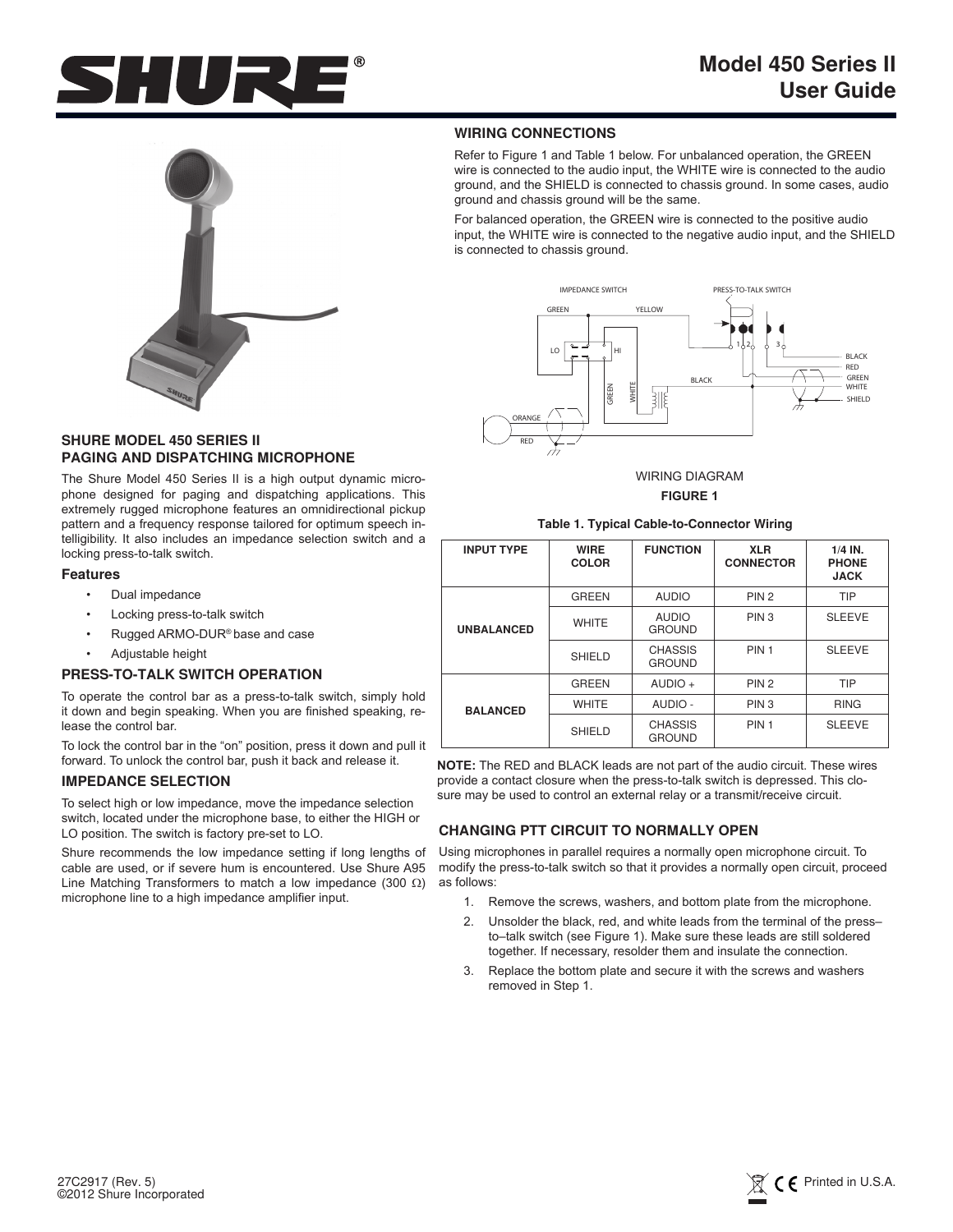



# **SHURE MODEL 450 SERIES II PAGING AND DISPATCHING MICROPHONE**

The Shure Model 450 Series II is a high output dynamic microphone designed for paging and dispatching applications. This extremely rugged microphone features an omnidirectional pickup pattern and a frequency response tailored for optimum speech intelligibility. It also includes an impedance selection switch and a locking press-to-talk switch.

### **Features**

- Dual impedance
- Locking press-to-talk switch
- Rugged ARMO-DUR® base and case
- Adjustable height

# **PRESS-TO-TALK SWITCH OPERATION**

To operate the control bar as a press-to-talk switch, simply hold it down and begin speaking. When you are finished speaking, release the control bar.

To lock the control bar in the "on" position, press it down and pull it forward. To unlock the control bar, push it back and release it.

#### **IMPEDANCE SELECTION**

To select high or low impedance, move the impedance selection switch, located under the microphone base, to either the HIGH or LO position. The switch is factory pre-set to LO.

Shure recommends the low impedance setting if long lengths of cable are used, or if severe hum is encountered. Use Shure A95 Line Matching Transformers to match a low impedance (300  $\Omega$ ) microphone line to a high impedance amplifier input.

#### **WIRING CONNECTIONS**

Refer to Figure 1 and Table 1 below. For unbalanced operation, the GREEN wire is connected to the audio input, the WHITE wire is connected to the audio ground, and the SHIELD is connected to chassis ground. In some cases, audio ground and chassis ground will be the same.

For balanced operation, the GREEN wire is connected to the positive audio input, the WHITE wire is connected to the negative audio input, and the SHIELD is connected to chassis ground.



WIRING DIAGRAM **FIGURE 1**

#### **Table 1. Typical Cable-to-Connector Wiring**

| <b>INPUT TYPE</b> | <b>WIRE</b><br><b>COLOR</b> | <b>FUNCTION</b>                 | <b>XLR</b><br><b>CONNECTOR</b> | $1/4$ IN.<br><b>PHONE</b><br><b>JACK</b> |
|-------------------|-----------------------------|---------------------------------|--------------------------------|------------------------------------------|
| <b>UNBALANCED</b> | <b>GREEN</b>                | <b>AUDIO</b>                    | PIN <sub>2</sub>               | <b>TIP</b>                               |
|                   | <b>WHITE</b>                | <b>AUDIO</b><br><b>GROUND</b>   | PIN <sub>3</sub>               | <b>SLEEVE</b>                            |
|                   | SHIELD                      | <b>CHASSIS</b><br><b>GROUND</b> | PIN <sub>1</sub>               | <b>SLEEVE</b>                            |
| <b>BALANCED</b>   | <b>GREEN</b>                | $AUDIO +$                       | PIN <sub>2</sub>               | <b>TIP</b>                               |
|                   | <b>WHITE</b>                | AUDIO -                         | PIN <sub>3</sub>               | <b>RING</b>                              |
|                   | SHIELD                      | <b>CHASSIS</b><br><b>GROUND</b> | PIN <sub>1</sub>               | <b>SLEEVE</b>                            |

**NOTE:** The RED and BLACK leads are not part of the audio circuit. These wires provide a contact closure when the press-to-talk switch is depressed. This closure may be used to control an external relay or a transmit/receive circuit.

# **CHANGING PTT CIRCUIT TO NORMALLY OPEN**

Using microphones in parallel requires a normally open microphone circuit. To modify the press-to-talk switch so that it provides a normally open circuit, proceed as follows:

- 1. Remove the screws, washers, and bottom plate from the microphone.
- 2. Unsolder the black, red, and white leads from the terminal of the press– to–talk switch (see Figure 1). Make sure these leads are still soldered together. If necessary, resolder them and insulate the connection.
- 3. Replace the bottom plate and secure it with the screws and washers removed in Step 1.